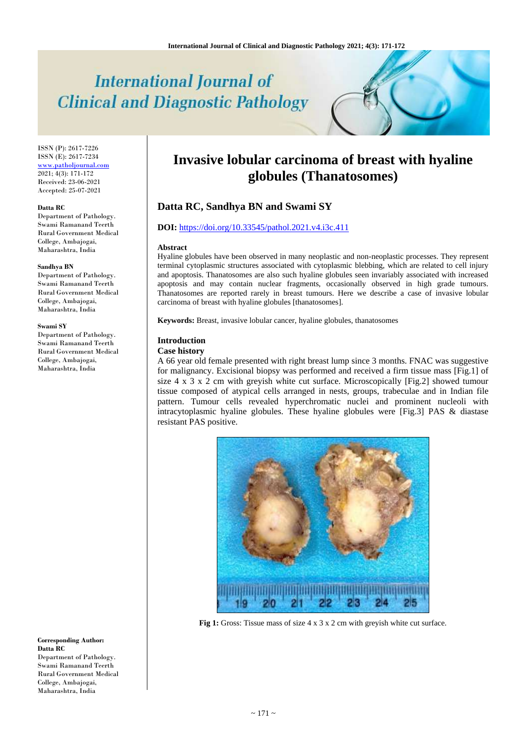# **International Journal of Clinical and Diagnostic Pathology**

ISSN (P): 2617-7226 ISSN (E): 2617-7234 [www.patholjournal.com](http://www.patholjournal.com/)  $2021; 4(3): 171-172$ Received: 23-06-2021 Accepted: 25-07-2021

#### **Datta RC**

Department of Pathology. Swami Ramanand Teerth Rural Government Medical College, Ambajogai, Maharashtra, India

#### **Sandhya BN**

Department of Pathology. Swami Ramanand Teerth Rural Government Medical College, Ambajogai, Maharashtra, India

#### **Swami SY**

Department of Pathology. Swami Ramanand Teerth Rural Government Medical College, Ambajogai, Maharashtra, India

**Corresponding Author: Datta RC** Department of Pathology. Swami Ramanand Teerth Rural Government Medical College, Ambajogai, Maharashtra, India

## **Invasive lobular carcinoma of breast with hyaline globules (Thanatosomes)**

## **Datta RC, Sandhya BN and Swami SY**

## **DOI:** <https://doi.org/10.33545/pathol.2021.v4.i3c.411>

#### **Abstract**

Hyaline globules have been observed in many neoplastic and non-neoplastic processes. They represent terminal cytoplasmic structures associated with cytoplasmic blebbing, which are related to cell injury and apoptosis. Thanatosomes are also such hyaline globules seen invariably associated with increased apoptosis and may contain nuclear fragments, occasionally observed in high grade tumours. Thanatosomes are reported rarely in breast tumours. Here we describe a case of invasive lobular carcinoma of breast with hyaline globules [thanatosomes].

**Keywords:** Breast, invasive lobular cancer, hyaline globules, thanatosomes

## **Introduction**

## **Case history**

A 66 year old female presented with right breast lump since 3 months. FNAC was suggestive for malignancy. Excisional biopsy was performed and received a firm tissue mass [Fig.1] of size 4 x 3 x 2 cm with greyish white cut surface. Microscopically [Fig.2] showed tumour tissue composed of atypical cells arranged in nests, groups, trabeculae and in Indian file pattern. Tumour cells revealed hyperchromatic nuclei and prominent nucleoli with intracytoplasmic hyaline globules. These hyaline globules were [Fig.3] PAS & diastase resistant PAS positive.



**Fig 1:** Gross: Tissue mass of size 4 x 3 x 2 cm with greyish white cut surface.